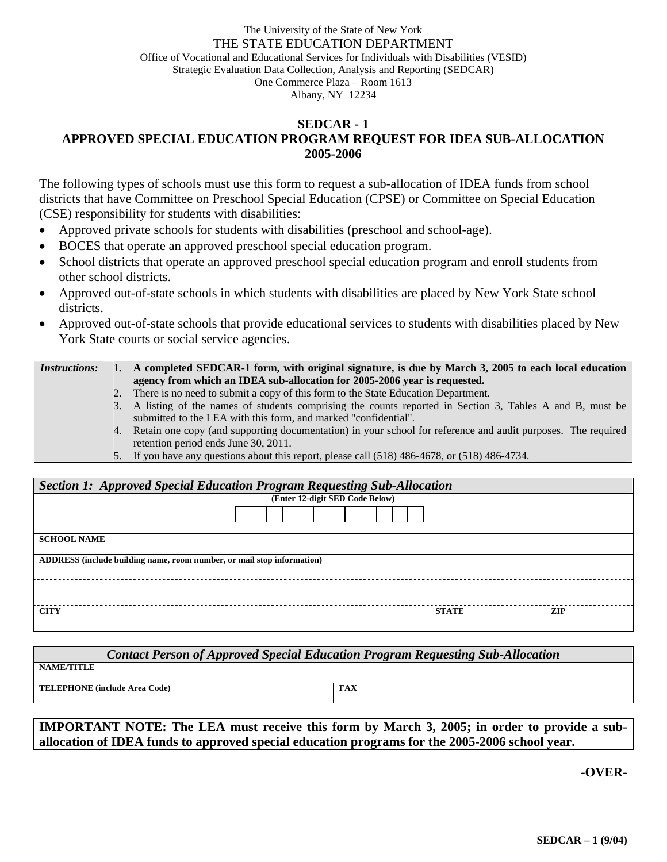## The University of the State of New York THE STATE EDUCATION DEPARTMENT Office of Vocational and Educational Services for Individuals with Disabilities (VESID) Strategic Evaluation Data Collection, Analysis and Reporting (SEDCAR) One Commerce Plaza – Room 1613 Albany, NY 12234

## **SEDCAR - 1 APPROVED SPECIAL EDUCATION PROGRAM REQUEST FOR IDEA SUB-ALLOCATION 2005-2006**

The following types of schools must use this form to request a sub-allocation of IDEA funds from school districts that have Committee on Preschool Special Education (CPSE) or Committee on Special Education (CSE) responsibility for students with disabilities:

- Approved private schools for students with disabilities (preschool and school-age).
- BOCES that operate an approved preschool special education program.
- School districts that operate an approved preschool special education program and enroll students from other school districts.
- Approved out-of-state schools in which students with disabilities are placed by New York State school districts.
- Approved out-of-state schools that provide educational services to students with disabilities placed by New York State courts or social service agencies.

| <i>Instructions:</i> |    | A completed SEDCAR-1 form, with original signature, is due by March 3, 2005 to each local education             |
|----------------------|----|-----------------------------------------------------------------------------------------------------------------|
|                      |    | agency from which an IDEA sub-allocation for 2005-2006 year is requested.                                       |
|                      | 2. | There is no need to submit a copy of this form to the State Education Department.                               |
|                      |    | 3. A listing of the names of students comprising the counts reported in Section 3, Tables A and B, must be      |
|                      |    | submitted to the LEA with this form, and marked "confidential".                                                 |
|                      |    | 4. Retain one copy (and supporting documentation) in your school for reference and audit purposes. The required |
|                      |    | retention period ends June 30, 2011.                                                                            |
|                      |    | 5. If you have any questions about this report, please call (518) 486-4678, or (518) 486-4734.                  |

| Section 1: Approved Special Education Program Requesting Sub-Allocation |              |            |  |  |  |
|-------------------------------------------------------------------------|--------------|------------|--|--|--|
| (Enter 12-digit SED Code Below)                                         |              |            |  |  |  |
|                                                                         |              |            |  |  |  |
| <b>SCHOOL NAME</b>                                                      |              |            |  |  |  |
| ADDRESS (include building name, room number, or mail stop information)  |              |            |  |  |  |
|                                                                         |              |            |  |  |  |
| <b>CITY</b>                                                             | <b>STATE</b> | <b>ZIP</b> |  |  |  |

| <b>Contact Person of Approved Special Education Program Requesting Sub-Allocation</b> |  |  |  |  |  |
|---------------------------------------------------------------------------------------|--|--|--|--|--|
|                                                                                       |  |  |  |  |  |
| <b>FAX</b>                                                                            |  |  |  |  |  |
|                                                                                       |  |  |  |  |  |

**IMPORTANT NOTE: The LEA must receive this form by March 3, 2005; in order to provide a suballocation of IDEA funds to approved special education programs for the 2005-2006 school year.** 

**-OVER-**